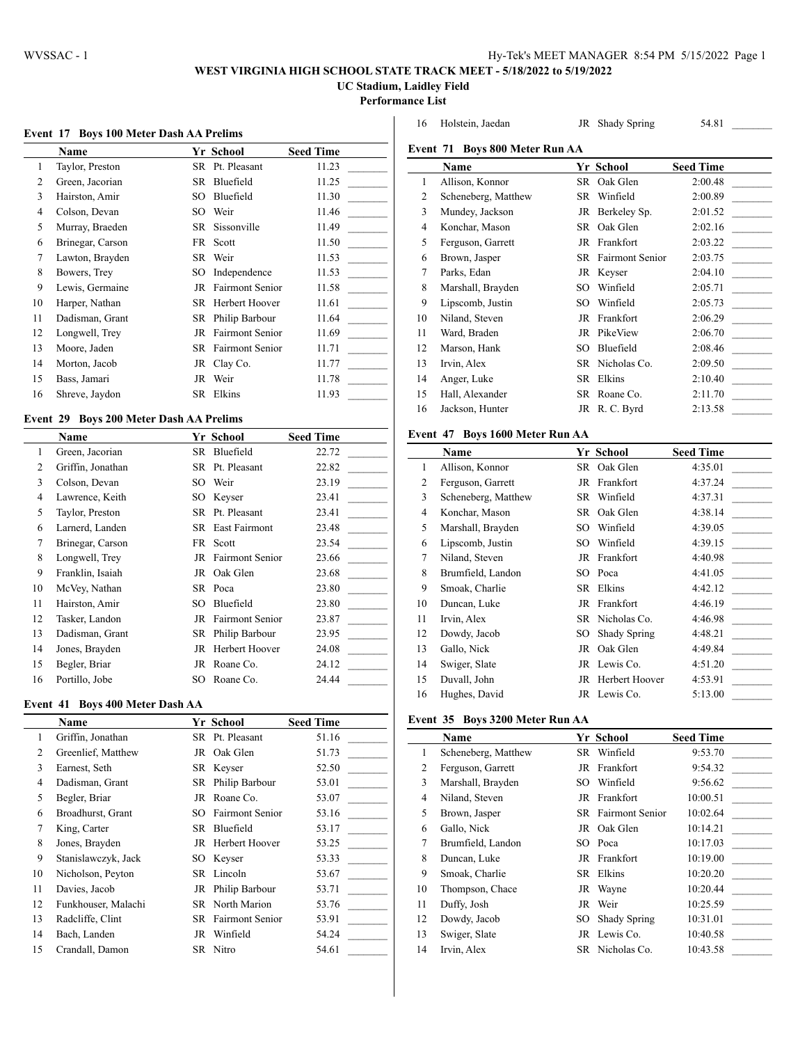$\overline{a}$ 

# **WEST VIRGINIA HIGH SCHOOL STATE TRACK MEET - 5/18/2022 to 5/19/2022**

**UC Stadium, Laidley Field**

**Performance List**

| Event 17 Boys 100 Meter Dash AA Prelims |  |  |  |  |  |  |  |  |
|-----------------------------------------|--|--|--|--|--|--|--|--|
|-----------------------------------------|--|--|--|--|--|--|--|--|

|    | Name             |     | Yr School              | <b>Seed Time</b> |
|----|------------------|-----|------------------------|------------------|
| 1  | Taylor, Preston  | SR  | Pt. Pleasant           | 11.23            |
| 2  | Green, Jacorian  | SR  | Bluefield              | 11.25            |
| 3  | Hairston, Amir   | SO  | Bluefield              | 11.30            |
| 4  | Colson, Devan    | SO. | Weir                   | 11.46            |
| 5  | Murray, Braeden  | SR  | Sissonville            | 11.49            |
| 6  | Brinegar, Carson | FR  | Scott                  | 11.50            |
| 7  | Lawton, Brayden  |     | SR Weir                | 11.53            |
| 8  | Bowers, Trey     | SO  | Independence           | 11.53            |
| 9  | Lewis, Germaine  | JR  | <b>Fairmont Senior</b> | 11.58            |
| 10 | Harper, Nathan   | SR  | Herbert Hoover         | 11.61            |
| 11 | Dadisman, Grant  | SR  | Philip Barbour         | 11.64            |
| 12 | Longwell, Trey   | JR  | <b>Fairmont Senior</b> | 11.69            |
| 13 | Moore, Jaden     | SR  | <b>Fairmont Senior</b> | 11.71            |
| 14 | Morton, Jacob    | JR  | Clay Co.               | 11.77            |
| 15 | Bass, Jamari     | JR  | Weir                   | 11.78            |
| 16 | Shreve, Jaydon   | SR  | Elkins                 | 11.93            |

## **Event 29 Boys 200 Meter Dash AA Prelims**

|    | Name              |     | Yr School              | <b>Seed Time</b> |
|----|-------------------|-----|------------------------|------------------|
| 1  | Green, Jacorian   | SR  | Bluefield              | 22.72            |
| 2  | Griffin, Jonathan |     | SR Pt. Pleasant        | 22.82            |
| 3  | Colson, Devan     |     | SO Weir                | 23.19            |
| 4  | Lawrence, Keith   | SO. | Keyser                 | 23.41            |
| 5  | Taylor, Preston   |     | SR Pt. Pleasant        | 23.41            |
| 6  | Larnerd, Landen   | SR. | East Fairmont          | 23.48            |
| 7  | Brinegar, Carson  | FR  | Scott                  | 23.54            |
| 8  | Longwell, Trey    | JR  | <b>Fairmont Senior</b> | 23.66            |
| 9  | Franklin, Isaiah  |     | JR Oak Glen            | 23.68            |
| 10 | McVey, Nathan     | SR. | Poca                   | 23.80            |
| 11 | Hairston, Amir    | SO. | Bluefield              | 23.80            |
| 12 | Tasker, Landon    | JR  | <b>Fairmont Senior</b> | 23.87            |
| 13 | Dadisman, Grant   |     | SR Philip Barbour      | 23.95            |
| 14 | Jones, Brayden    | JR  | Herbert Hoover         | 24.08            |
| 15 | Begler, Briar     | JR  | Roane Co.              | 24.12            |
| 16 | Portillo, Jobe    | SO  | Roane Co.              | 24.44            |

#### **Event 41 Boys 400 Meter Dash AA**

|    | <b>Name</b>         |     | Yr School                 | <b>Seed Time</b> |
|----|---------------------|-----|---------------------------|------------------|
| 1  | Griffin, Jonathan   |     | SR Pt. Pleasant           | 51.16            |
| 2  | Greenlief, Matthew  |     | JR Oak Glen               | 51.73            |
| 3  | Earnest, Seth       |     | SR Keyser                 | 52.50            |
| 4  | Dadisman, Grant     |     | SR Philip Barbour         | 53.01            |
| 5  | Begler, Briar       | JR  | Roane Co.                 | 53.07            |
| 6  | Broadhurst, Grant   | SO. | <b>Fairmont Senior</b>    | 53.16            |
| 7  | King, Carter        | SR  | Bluefield                 | 53.17            |
| 8  | Jones, Brayden      |     | JR Herbert Hoover         | 53.25            |
| 9  | Stanislawczyk, Jack |     | SO Keyser                 | 53.33            |
| 10 | Nicholson, Peyton   |     | SR Lincoln                | 53.67            |
| 11 | Davies, Jacob       |     | JR Philip Barbour         | 53.71            |
| 12 | Funkhouser, Malachi |     | <b>SR</b> North Marion    | 53.76            |
| 13 | Radcliffe, Clint    |     | <b>SR</b> Fairmont Senior | 53.91            |
| 14 | Bach, Landen        | JR  | Winfield                  | 54.24            |
| 15 | Crandall, Damon     |     | SR Nitro                  | 54.61            |

|    | Event 71 Boys 800 Meter Run AA |    |                        |                  |
|----|--------------------------------|----|------------------------|------------------|
|    | Name                           |    | Yr School              | <b>Seed Time</b> |
| 1  | Allison, Konnor                | SR | Oak Glen               | 2:00.48          |
| 2  | Scheneberg, Matthew            | SR | Winfield               | 2:00.89          |
| 3  | Mundey, Jackson                | JR | Berkeley Sp.           | 2:01.52          |
| 4  | Konchar, Mason                 | SR | Oak Glen               | 2:02.16          |
| 5  | Ferguson, Garrett              | JR | Frankfort              | 2:03.22          |
| 6  | Brown, Jasper                  | SR | <b>Fairmont Senior</b> | 2:03.75          |
| 7  | Parks, Edan                    | JR | Keyser                 | 2:04.10          |
| 8  | Marshall, Brayden              | SО | Winfield               | 2:05.71          |
| 9  | Lipscomb, Justin               | SО | Winfield               | 2:05.73          |
| 10 | Niland, Steven                 | JR | Frankfort              | 2:06.29          |
| 11 | Ward, Braden                   | JR | PikeView               | 2:06.70          |
| 12 | Marson, Hank                   | SO | <b>Bluefield</b>       | 2:08.46          |
| 13 | Irvin, Alex                    | SR | Nicholas Co.           | 2:09.50          |
| 14 | Anger, Luke                    | SR | Elkins                 | 2:10.40          |
| 15 | Hall, Alexander                | SR | Roane Co.              | 2:11.70          |
| 16 | Jackson, Hunter                | JR | R. C. Byrd             | 2:13.58          |
|    |                                |    |                        |                  |

Holstein, Jaedan JR Shady Spring 54.81 \_\_\_\_\_\_\_\_\_

# **Event 47 Boys 1600 Meter Run AA**

|    | Name                |      | Yr School           | <b>Seed Time</b> |
|----|---------------------|------|---------------------|------------------|
| 1  | Allison, Konnor     |      | SR Oak Glen         | 4:35.01          |
| 2  | Ferguson, Garrett   |      | JR Frankfort        | 4:37.24          |
| 3  | Scheneberg, Matthew | SR   | Winfield            | 4:37.31          |
| 4  | Konchar, Mason      | SR   | Oak Glen            | 4:38.14          |
| 5  | Marshall, Brayden   | SO.  | Winfield            | 4:39.05          |
| 6  | Lipscomb, Justin    | SO   | Winfield            | 4:39.15          |
| 7  | Niland, Steven      |      | JR Frankfort        | 4:40.98          |
| 8  | Brumfield, Landon   | SO - | Poca                | 4:41.05          |
| 9  | Smoak, Charlie      | SR   | Elkins              | 4:42.12          |
| 10 | Duncan, Luke        |      | JR Frankfort        | 4:46.19          |
| 11 | Irvin, Alex         |      | SR Nicholas Co.     | 4:46.98          |
| 12 | Dowdy, Jacob        | SO.  | <b>Shady Spring</b> | 4:48.21          |
| 13 | Gallo, Nick         | JR   | Oak Glen            | 4:49.84          |
| 14 | Swiger, Slate       |      | JR Lewis Co.        | 4:51.20          |
| 15 | Duvall, John        |      | JR Herbert Hoover   | 4:53.91          |
| 16 | Hughes, David       |      | JR Lewis Co.        | 5:13.00          |

#### **Event 35 Boys 3200 Meter Run AA**

|    | <b>Name</b>         |    | Yr School                 | <b>Seed Time</b> |
|----|---------------------|----|---------------------------|------------------|
| 1  | Scheneberg, Matthew | SR | Winfield                  | 9:53.70          |
| 2  | Ferguson, Garrett   | JR | Frankfort                 | 9:54.32          |
| 3  | Marshall, Brayden   | SО | Winfield                  | 9:56.62          |
| 4  | Niland, Steven      | JR | Frankfort                 | 10:00.51         |
| 5  | Brown, Jasper       |    | <b>SR</b> Fairmont Senior | 10:02.64         |
| 6  | Gallo, Nick         |    | JR Oak Glen               | 10:14.21         |
| 7  | Brumfield, Landon   |    | SO Poca                   | 10:17.03         |
| 8  | Duncan, Luke        |    | JR Frankfort              | 10:19.00         |
| 9  | Smoak, Charlie      |    | SR Elkins                 | 10:20.20         |
| 10 | Thompson, Chace     |    | JR Wayne                  | 10:20.44         |
| 11 | Duffy, Josh         |    | JR Weir                   | 10:25.59         |
| 12 | Dowdy, Jacob        | SO | <b>Shady Spring</b>       | 10:31.01         |
| 13 | Swiger, Slate       |    | JR Lewis Co.              | 10:40.58         |
| 14 | Irvin, Alex         |    | SR Nicholas Co.           | 10:43.58         |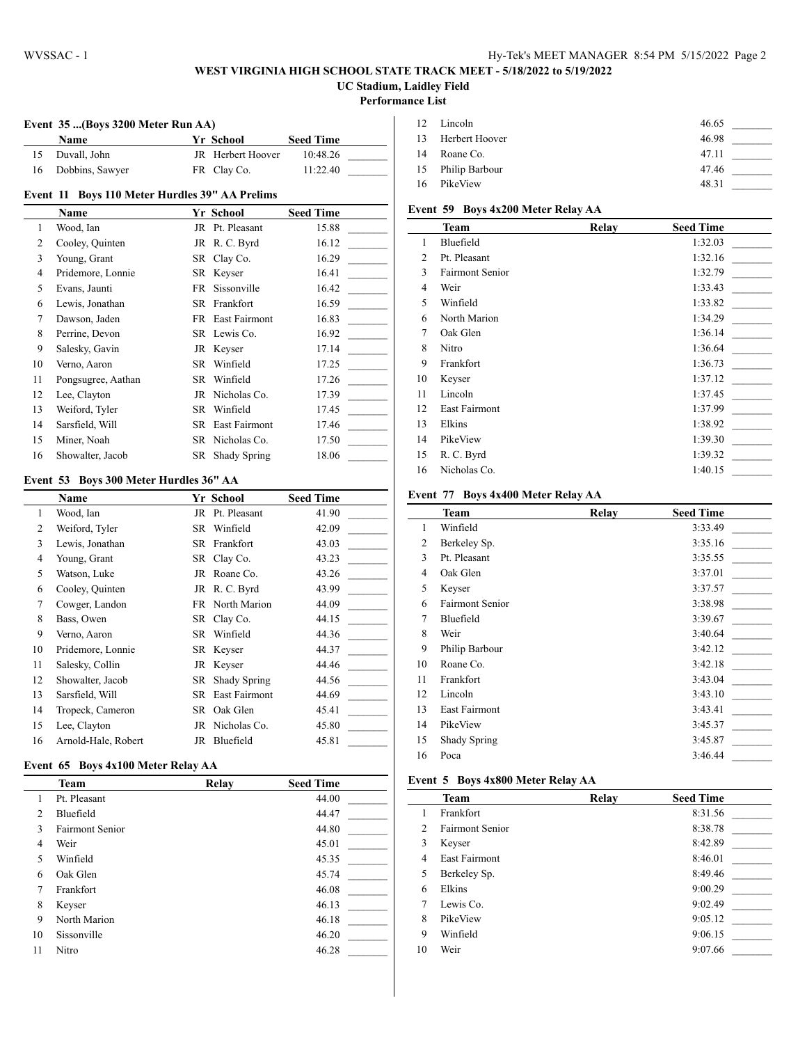### **WEST VIRGINIA HIGH SCHOOL STATE TRACK MEET - 5/18/2022 to 5/19/2022 UC Stadium, Laidley Field**

#### **Performance List**

 $\overline{a}$ 

 $\overline{a}$ 

#### **Event 35 ...(Boys 3200 Meter Run AA)**

|    | <b>Name</b>     | <b>Yr School</b>  | <b>Seed Time</b> |  |
|----|-----------------|-------------------|------------------|--|
|    | Duvall. John    | JR Herbert Hoover | 10:48.26         |  |
| 16 | Dobbins, Sawyer | FR Clay Co.       | 11:22.40         |  |

## **Event 11 Boys 110 Meter Hurdles 39" AA Prelims**

|                | Name               |    | Yr School        | <b>Seed Time</b> |
|----------------|--------------------|----|------------------|------------------|
| 1              | Wood, Ian          | JR | Pt. Pleasant     | 15.88            |
| 2              | Cooley, Quinten    |    | JR R. C. Byrd    | 16.12            |
| 3              | Young, Grant       |    | SR Clay Co.      | 16.29            |
| $\overline{4}$ | Pridemore, Lonnie  |    | SR Keyser        | 16.41            |
| 5              | Evans, Jaunti      | FR | Sissonville      | 16.42            |
| 6              | Lewis, Jonathan    |    | SR Frankfort     | 16.59            |
| 7              | Dawson, Jaden      |    | FR East Fairmont | 16.83            |
| 8              | Perrine, Devon     |    | SR Lewis Co.     | 16.92            |
| 9              | Salesky, Gavin     |    | JR Keyser        | 17.14            |
| 10             | Verno, Aaron       | SR | Winfield         | 17.25            |
| 11             | Pongsugree, Aathan |    | SR Winfield      | 17.26            |
| 12             | Lee, Clayton       | JR | Nicholas Co.     | 17.39            |
| 13             | Weiford, Tyler     | SR | Winfield         | 17.45            |
| 14             | Sarsfield, Will    | SR | East Fairmont    | 17.46            |
| 15             | Miner, Noah        | SR | Nicholas Co.     | 17.50            |
| 16             | Showalter, Jacob   |    | SR Shady Spring  | 18.06            |

#### **Event 53 Boys 300 Meter Hurdles 36" AA**

| <b>Name</b>         |     |               | <b>Seed Time</b>                                                                                                                             |
|---------------------|-----|---------------|----------------------------------------------------------------------------------------------------------------------------------------------|
| Wood, Ian           |     | Pt. Pleasant  | 41.90                                                                                                                                        |
| Weiford, Tyler      | SR. | Winfield      | 42.09                                                                                                                                        |
| Lewis, Jonathan     |     |               | 43.03                                                                                                                                        |
| Young, Grant        |     |               | 43.23                                                                                                                                        |
| Watson, Luke        | JR  | Roane Co.     | 43.26                                                                                                                                        |
| Cooley, Quinten     |     |               | 43.99                                                                                                                                        |
| Cowger, Landon      |     |               | 44.09                                                                                                                                        |
| Bass, Owen          |     |               | 44.15                                                                                                                                        |
| Verno, Aaron        |     | Winfield      | 44.36                                                                                                                                        |
| Pridemore, Lonnie   |     |               | 44.37                                                                                                                                        |
| Salesky, Collin     |     |               | 44.46                                                                                                                                        |
| Showalter, Jacob    | SR. | Shady Spring  | 44.56                                                                                                                                        |
| Sarsfield, Will     | SR. | East Fairmont | 44.69                                                                                                                                        |
| Tropeck, Cameron    |     | Oak Glen      | 45.41                                                                                                                                        |
| Lee, Clayton        |     | Nicholas Co.  | 45.80                                                                                                                                        |
| Arnold-Hale, Robert | JR  | Bluefield     | 45.81                                                                                                                                        |
|                     |     |               | Yr School<br>JR<br>SR Frankfort<br>SR Clay Co.<br>JR R.C. Byrd<br>FR North Marion<br>SR Clay Co.<br>SR<br>SR Keyser<br>JR Keyser<br>SR<br>JR |

#### **Event 65 Boys 4x100 Meter Relay AA**

|                | Team                   | Relay | <b>Seed Time</b> |
|----------------|------------------------|-------|------------------|
| 1              | Pt. Pleasant           |       | 44.00            |
| $\overline{2}$ | Bluefield              |       | 44.47            |
| 3              | <b>Fairmont Senior</b> |       | 44.80            |
| 4              | Weir                   |       | 45.01            |
| 5              | Winfield               |       | 45.35            |
| 6              | Oak Glen               |       | 45.74            |
| 7              | Frankfort              |       | 46.08            |
| 8              | Keyser                 |       | 46.13            |
| 9              | North Marion           |       | 46.18            |
| 10             | Sissonville            |       | 46.20            |
| 11             | Nitro                  |       | 46.28            |

|    | 12 Lincoln        | 46.65 |
|----|-------------------|-------|
|    | 13 Herbert Hoover | 46.98 |
| 14 | Roane Co.         | 47.11 |
|    | 15 Philip Barbour | 47.46 |
| 16 | PikeView          | 48.31 |

# **Event 59 Boys 4x200 Meter Relay AA**

|                | <b>Team</b>          | Relay | <b>Seed Time</b> |
|----------------|----------------------|-------|------------------|
| 1              | Bluefield            |       | 1:32.03          |
| 2              | Pt. Pleasant         |       | 1:32.16          |
| 3              | Fairmont Senior      |       | 1:32.79          |
| $\overline{4}$ | Weir                 |       | 1:33.43          |
| 5              | Winfield             |       | 1:33.82          |
| 6              | North Marion         |       | 1:34.29          |
| 7              | Oak Glen             |       | 1:36.14          |
| 8              | Nitro                |       | 1:36.64          |
| 9              | Frankfort            |       | 1:36.73          |
| 10             | Keyser               |       | 1:37.12          |
| 11             | Lincoln              |       | 1:37.45          |
| 12             | <b>East Fairmont</b> |       | 1:37.99          |
| 13             | Elkins               |       | 1:38.92          |
| 14             | PikeView             |       | 1:39.30          |
| 15             | R. C. Byrd           |       | 1:39.32          |
| 16             | Nicholas Co.         |       | 1:40.15          |

#### **Event 77 Boys 4x400 Meter Relay AA**

|                | <b>Team</b>            | Relay | <b>Seed Time</b> |
|----------------|------------------------|-------|------------------|
| 1              | Winfield               |       | 3:33.49          |
| 2              | Berkeley Sp.           |       | 3:35.16          |
| 3              | Pt. Pleasant           |       | 3:35.55          |
| $\overline{4}$ | Oak Glen               |       | 3:37.01          |
| 5              | Keyser                 |       | 3:37.57          |
| 6              | <b>Fairmont Senior</b> |       | 3:38.98          |
| 7              | Bluefield              |       | 3:39.67          |
| 8              | Weir                   |       | 3:40.64          |
| 9              | Philip Barbour         |       | 3:42.12          |
| 10             | Roane Co.              |       | 3:42.18          |
| 11             | Frankfort              |       | 3:43.04          |
| 12             | Lincoln                |       | 3:43.10          |
| 13             | East Fairmont          |       | 3:43.41          |
| 14             | PikeView               |       | 3:45.37          |
| 15             | Shady Spring           |       | 3:45.87          |
| 16             | Poca                   |       | 3:46.44          |

#### **Event 5 Boys 4x800 Meter Relay AA**

|                | Team                   | Relay | <b>Seed Time</b> |
|----------------|------------------------|-------|------------------|
| 1              | Frankfort              |       | 8:31.56          |
| $\overline{2}$ | <b>Fairmont Senior</b> |       | 8:38.78          |
| 3              | Keyser                 |       | 8:42.89          |
| 4              | <b>East Fairmont</b>   |       | 8:46.01          |
| 5              | Berkeley Sp.           |       | 8:49.46          |
| 6              | Elkins                 |       | 9:00.29          |
| 7              | Lewis Co.              |       | 9:02.49          |
| 8              | PikeView               |       | 9:05.12          |
| 9              | Winfield               |       | 9:06.15          |
| 10             | Weir                   |       | 9:07.66          |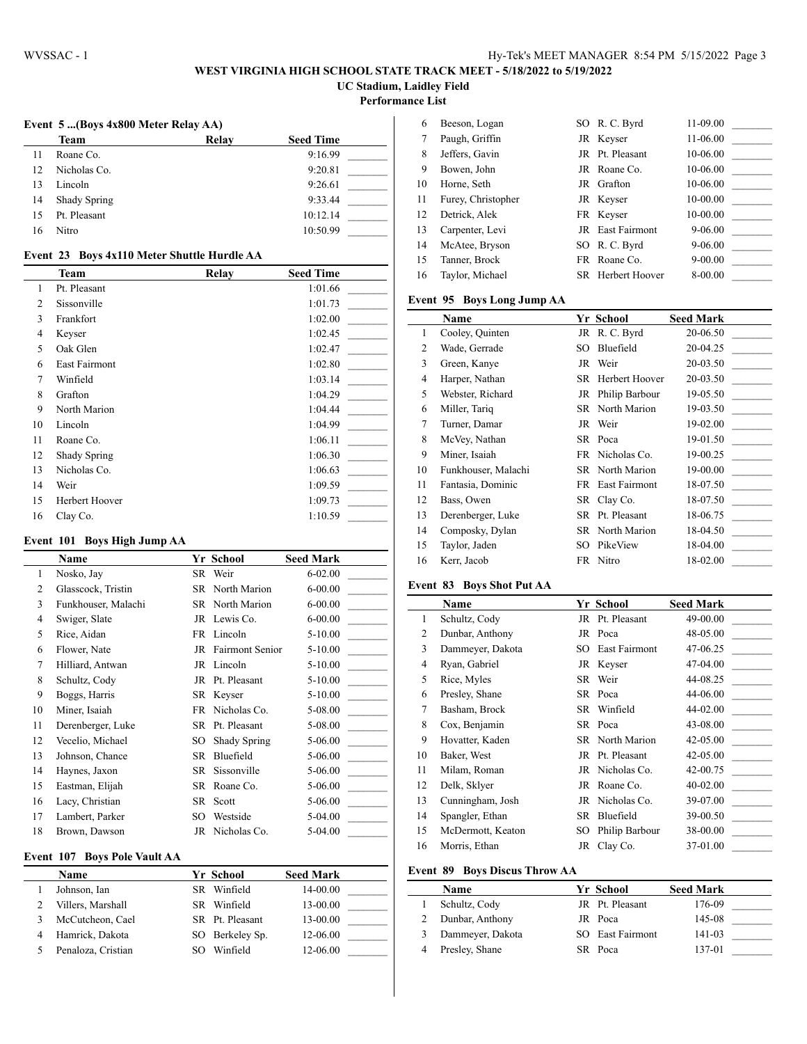### **WEST VIRGINIA HIGH SCHOOL STATE TRACK MEET - 5/18/2022 to 5/19/2022 UC Stadium, Laidley Field**

**Performance List**

**Event 5 ...(Boys 4x800 Meter Relay AA)**

| Team                | Relay | <b>Seed Time</b> |
|---------------------|-------|------------------|
| Roane Co.           |       | 9:16.99          |
| Nicholas Co.        |       | 9:20.81          |
| Lincoln             |       | 9:26.61          |
| <b>Shady Spring</b> |       | 9:33.44          |
| Pt. Pleasant        |       | 10:12.14         |
| Nitro               |       | 10:50.99         |
|                     |       |                  |

## **Event 23 Boys 4x110 Meter Shuttle Hurdle AA**

|                | <b>Team</b>    | Relay | <b>Seed Time</b> |
|----------------|----------------|-------|------------------|
| 1              | Pt. Pleasant   |       | 1:01.66          |
| $\overline{2}$ | Sissonville    |       | 1:01.73          |
| 3              | Frankfort      |       | 1:02.00          |
| $\overline{4}$ | Keyser         |       | 1:02.45          |
| 5              | Oak Glen       |       | 1:02.47          |
| 6              | East Fairmont  |       | 1:02.80          |
| 7              | Winfield       |       | 1:03.14          |
| 8              | Grafton        |       | 1:04.29          |
| 9              | North Marion   |       | 1:04.44          |
| 10             | Lincoln        |       | 1:04.99          |
| 11             | Roane Co.      |       | 1:06.11          |
| 12             | Shady Spring   |       | 1:06.30          |
| 13             | Nicholas Co.   |       | 1:06.63          |
| 14             | Weir           |       | 1:09.59          |
| 15             | Herbert Hoover |       | 1:09.73          |
| 16             | Clay Co.       |       | 1:10.59          |

#### **Event 101 Boys High Jump AA**

|                | Name                |     | Yr School              | <b>Seed Mark</b> |
|----------------|---------------------|-----|------------------------|------------------|
| 1              | Nosko, Jay          |     | SR Weir                | $6 - 02.00$      |
| $\overline{2}$ | Glasscock, Tristin  |     | SR North Marion        | $6 - 00.00$      |
| 3              | Funkhouser, Malachi |     | SR North Marion        | $6 - 00.00$      |
| 4              | Swiger, Slate       |     | JR Lewis Co.           | $6 - 00.00$      |
| 5              | Rice, Aidan         |     | FR Lincoln             | $5-10.00$        |
| 6              | Flower, Nate        | JR  | <b>Fairmont Senior</b> | $5-10.00$        |
| 7              | Hilliard, Antwan    |     | JR Lincoln             | $5 - 10.00$      |
| 8              | Schultz, Cody       |     | JR Pt. Pleasant        | $5 - 10.00$      |
| 9              | Boggs, Harris       |     | SR Keyser              | $5 - 10.00$      |
| 10             | Miner, Isaiah       | FR. | Nicholas Co.           | 5-08.00          |
| 11             | Derenberger, Luke   | SR  | Pt. Pleasant           | 5-08.00          |
| 12             | Vecelio, Michael    | SO. | Shady Spring           | 5-06.00          |
| 13             | Johnson, Chance     | SR  | Bluefield              | 5-06.00          |
| 14             | Haynes, Jaxon       | SR  | Sissonville            | 5-06.00          |
| 15             | Eastman, Elijah     | SR  | Roane Co.              | 5-06.00          |
| 16             | Lacy, Christian     | SR  | Scott                  | 5-06.00          |
| 17             | Lambert, Parker     | SO  | Westside               | 5-04.00          |
| 18             | Brown, Dawson       | JR  | Nicholas Co.           | 5-04.00          |

## **Event 107 Boys Pole Vault AA**

| <b>Name</b>        | Yr School       | <b>Seed Mark</b> |  |
|--------------------|-----------------|------------------|--|
| Johnson, Ian       | SR Winfield     | 14-00.00         |  |
| Villers, Marshall  | SR Winfield     | 13-00.00         |  |
| McCutcheon, Cael   | SR Pt. Pleasant | 13-00.00         |  |
| Hamrick, Dakota    | SO Berkelev Sp. | 12-06.00         |  |
| Penaloza, Cristian | Winfield        | 12-06.00         |  |

| 6  | Beeson, Logan      | SO R. C. Byrd           | 11-09.00    |  |
|----|--------------------|-------------------------|-------------|--|
| 7  | Paugh, Griffin     | JR Keyser               | 11-06.00    |  |
| 8  | Jeffers, Gavin     | JR Pt. Pleasant         | 10-06.00    |  |
| 9  | Bowen, John        | JR Roane Co.            | 10-06.00    |  |
| 10 | Horne, Seth        | JR Grafton              | 10-06.00    |  |
| 11 | Furey, Christopher | JR Keyser               | 10-00.00    |  |
| 12 | Detrick, Alek      | FR Keyser               | 10-00.00    |  |
| 13 | Carpenter, Levi    | <b>JR</b> East Fairmont | $9 - 06.00$ |  |
| 14 | McAtee, Bryson     | SO R. C. Byrd           | $9 - 06.00$ |  |
| 15 | Tanner, Brock      | FR Roane Co.            | $9 - 00.00$ |  |
| 16 | Taylor, Michael    | SR Herbert Hoover       | 8-00.00     |  |
|    |                    |                         |             |  |

## **Event 95 Boys Long Jump AA**

|    | Name                |     | Yr School         | <b>Seed Mark</b> |
|----|---------------------|-----|-------------------|------------------|
| 1  | Cooley, Quinten     |     | JR R.C. Byrd      | 20-06.50         |
| 2  | Wade, Gerrade       | SO. | Bluefield         | 20-04.25         |
| 3  | Green, Kanye        |     | JR Weir           | 20-03.50         |
| 4  | Harper, Nathan      |     | SR Herbert Hoover | 20-03.50         |
| 5  | Webster, Richard    |     | JR Philip Barbour | 19-05.50         |
| 6  | Miller, Tariq       |     | SR North Marion   | 19-03.50         |
| 7  | Turner, Damar       |     | JR Weir           | 19-02.00         |
| 8  | McVey, Nathan       |     | SR Poca           | 19-01.50         |
| 9  | Miner, Isaiah       |     | FR Nicholas Co.   | 19-00.25         |
| 10 | Funkhouser, Malachi |     | SR North Marion   | 19-00.00         |
| 11 | Fantasia, Dominic   | FR  | East Fairmont     | 18-07.50         |
| 12 | Bass, Owen          |     | SR Clay Co.       | 18-07.50         |
| 13 | Derenberger, Luke   |     | SR Pt. Pleasant   | 18-06.75         |
| 14 | Composky, Dylan     |     | SR North Marion   | 18-04.50         |
| 15 | Taylor, Jaden       | SO. | PikeView          | 18-04.00         |
| 16 | Kerr, Jacob         |     | FR Nitro          | 18-02.00         |
|    |                     |     |                   |                  |

#### **Event 83 Boys Shot Put AA**

l,

|    | <b>Name</b>       |    | Yr School         | <b>Seed Mark</b> |
|----|-------------------|----|-------------------|------------------|
| 1  | Schultz, Cody     |    | JR Pt. Pleasant   | 49-00.00         |
| 2  | Dunbar, Anthony   |    | JR Poca           | 48-05.00         |
| 3  | Dammeyer, Dakota  |    | SO East Fairmont  | 47-06.25         |
| 4  | Ryan, Gabriel     |    | JR Keyser         | 47-04.00         |
| 5  | Rice, Myles       |    | SR Weir           | 44-08.25         |
| 6  | Presley, Shane    |    | SR Poca           | 44-06.00         |
| 7  | Basham, Brock     |    | SR Winfield       | 44-02.00         |
| 8  | Cox, Benjamin     |    | SR Poca           | 43-08.00         |
| 9  | Hovatter, Kaden   |    | SR North Marion   | 42-05.00         |
| 10 | Baker, West       |    | JR Pt. Pleasant   | 42-05.00         |
| 11 | Milam, Roman      |    | JR Nicholas Co.   | 42-00.75         |
| 12 | Delk, Sklyer      |    | JR Roane Co.      | 40-02.00         |
| 13 | Cunningham, Josh  |    | JR Nicholas Co.   | 39-07.00         |
| 14 | Spangler, Ethan   | SR | Bluefield         | 39-00.50         |
| 15 | McDermott, Keaton |    | SO Philip Barbour | 38-00.00         |
| 16 | Morris, Ethan     |    | JR Clay Co.       | 37-01.00         |

### **Event 89 Boys Discus Throw AA**

| Name              | Yr School        | <b>Seed Mark</b> |  |
|-------------------|------------------|------------------|--|
| Schultz, Cody     | JR Pt. Pleasant  | 176-09           |  |
| 2 Dunbar, Anthony | JR Poca          | 145-08           |  |
| Dammeyer, Dakota  | SO East Fairmont | 141-03           |  |
| Presley, Shane    | SR Poca          | 137-01           |  |